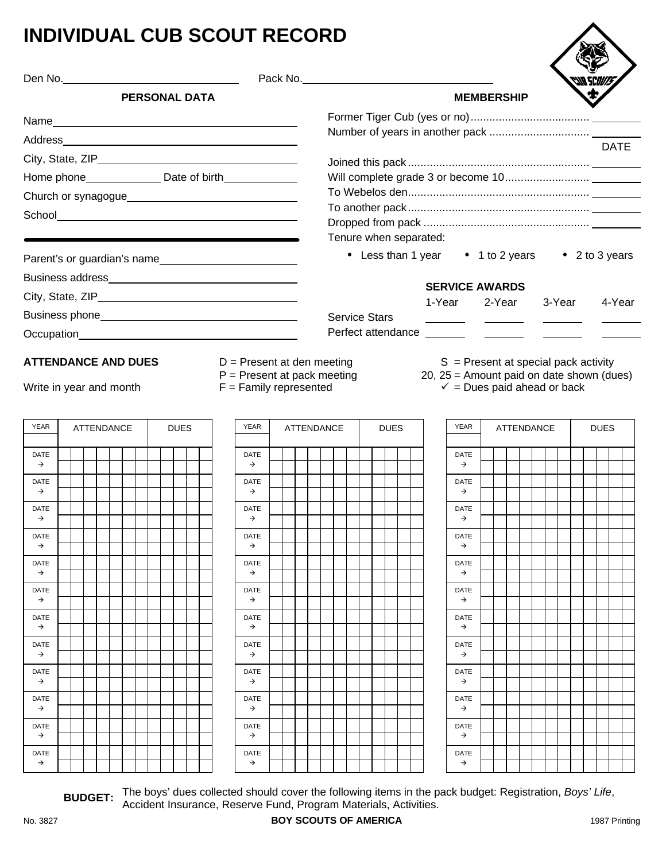# **INDIVIDUAL CUB SCOUT RECORD**

|                              |                            |                      |             |                                                         |                      |                        | Pack No. No. 2008 and 2008 and 2008 and 2008 and 2008 and 2008 and 2008 and 2008 and 2008 and 2008 and 2008 and 2008 and 2008 and 2008 and 2008 and 2008 and 2008 and 2008 and 2008 and 2008 and 2008 and 2008 and 2008 and 20 |                                        |                   |             |             |
|------------------------------|----------------------------|----------------------|-------------|---------------------------------------------------------|----------------------|------------------------|--------------------------------------------------------------------------------------------------------------------------------------------------------------------------------------------------------------------------------|----------------------------------------|-------------------|-------------|-------------|
|                              |                            | <b>PERSONAL DATA</b> |             |                                                         |                      |                        |                                                                                                                                                                                                                                | <b>MEMBERSHIP</b>                      |                   |             |             |
|                              |                            |                      |             |                                                         |                      |                        |                                                                                                                                                                                                                                |                                        |                   |             |             |
|                              |                            |                      |             |                                                         |                      |                        |                                                                                                                                                                                                                                |                                        |                   |             |             |
|                              |                            |                      |             |                                                         |                      |                        |                                                                                                                                                                                                                                |                                        |                   |             | <b>DATE</b> |
|                              |                            |                      |             | Home phone________________ Date of birth_______________ |                      |                        |                                                                                                                                                                                                                                |                                        |                   |             |             |
|                              |                            |                      |             |                                                         |                      |                        |                                                                                                                                                                                                                                |                                        |                   |             |             |
|                              |                            |                      |             |                                                         |                      |                        |                                                                                                                                                                                                                                |                                        |                   |             |             |
|                              |                            |                      |             |                                                         |                      |                        |                                                                                                                                                                                                                                |                                        |                   |             |             |
|                              |                            |                      |             |                                                         |                      | Tenure when separated: |                                                                                                                                                                                                                                |                                        |                   |             |             |
|                              |                            |                      |             | Parent's or guardian's name                             |                      |                        | • Less than 1 year • 1 to 2 years • 2 to 3 years                                                                                                                                                                               |                                        |                   |             |             |
|                              |                            |                      |             |                                                         |                      |                        | <b>SERVICE AWARDS</b>                                                                                                                                                                                                          |                                        |                   |             |             |
|                              |                            |                      |             |                                                         |                      |                        | 1-Year                                                                                                                                                                                                                         | 2-Year                                 | 3-Year            |             | 4-Year      |
|                              |                            |                      |             |                                                         | <b>Service Stars</b> |                        |                                                                                                                                                                                                                                |                                        |                   |             |             |
|                              |                            |                      |             |                                                         |                      |                        | Perfect attendance _______                                                                                                                                                                                                     |                                        |                   |             |             |
|                              | <b>ATTENDANCE AND DUES</b> |                      |             | $D =$ Present at den meeting                            |                      |                        |                                                                                                                                                                                                                                | $S =$ Present at special pack activity |                   |             |             |
|                              |                            |                      |             | $P =$ Present at pack meeting                           |                      |                        | 20, 25 = Amount paid on date shown (dues)                                                                                                                                                                                      |                                        |                   |             |             |
|                              | Write in year and month    |                      |             | $F =$ Family represented                                |                      |                        |                                                                                                                                                                                                                                | $\checkmark$ = Dues paid ahead or back |                   |             |             |
|                              |                            |                      |             |                                                         |                      |                        |                                                                                                                                                                                                                                |                                        |                   |             |             |
|                              |                            |                      |             |                                                         |                      |                        |                                                                                                                                                                                                                                |                                        |                   |             |             |
| <b>YEAR</b>                  | <b>ATTENDANCE</b>          |                      | <b>DUES</b> | <b>YEAR</b>                                             | <b>ATTENDANCE</b>    | <b>DUES</b>            | <b>YEAR</b>                                                                                                                                                                                                                    |                                        | <b>ATTENDANCE</b> | <b>DUES</b> |             |
|                              |                            |                      |             |                                                         |                      |                        |                                                                                                                                                                                                                                |                                        |                   |             |             |
| DATE<br>$\rightarrow$        |                            |                      |             | DATE<br>$\rightarrow$                                   |                      |                        | DATE<br>$\rightarrow$                                                                                                                                                                                                          |                                        |                   |             |             |
| <b>DATE</b>                  |                            |                      |             | <b>DATE</b>                                             |                      |                        | <b>DATE</b>                                                                                                                                                                                                                    |                                        |                   |             |             |
| $\rightarrow$                |                            |                      |             | $\rightarrow$                                           |                      |                        | $\rightarrow$                                                                                                                                                                                                                  |                                        |                   |             |             |
| DATE<br>$\rightarrow$        |                            |                      |             | DATE<br>$\rightarrow$                                   |                      |                        | DATE<br>$\rightarrow$                                                                                                                                                                                                          |                                        |                   |             |             |
| DATE                         |                            |                      |             | <b>DATE</b>                                             |                      |                        | DATE                                                                                                                                                                                                                           |                                        |                   |             |             |
| →                            |                            |                      |             | →                                                       |                      |                        | $\rightarrow$                                                                                                                                                                                                                  |                                        |                   |             |             |
| <b>DATE</b><br>$\rightarrow$ |                            |                      |             | <b>DATE</b><br>$\rightarrow$                            |                      |                        | DATE<br>$\rightarrow$                                                                                                                                                                                                          |                                        |                   |             |             |
| <b>DATE</b>                  |                            |                      |             | DATE                                                    |                      |                        | DATE                                                                                                                                                                                                                           |                                        |                   |             |             |
| →                            |                            |                      |             | $\rightarrow$                                           |                      |                        | $\rightarrow$                                                                                                                                                                                                                  |                                        |                   |             |             |
| DATE<br>$\rightarrow$        |                            |                      |             | DATE<br>$\rightarrow$                                   |                      |                        | DATE<br>$\rightarrow$                                                                                                                                                                                                          |                                        |                   |             |             |
| <b>DATE</b><br>$\rightarrow$ |                            |                      |             | DATE<br>$\rightarrow$                                   |                      |                        | DATE<br>$\rightarrow$                                                                                                                                                                                                          |                                        |                   |             |             |
| DATE                         |                            |                      |             | DATE                                                    |                      |                        | DATE                                                                                                                                                                                                                           |                                        |                   |             |             |
| $\rightarrow$                |                            |                      |             | $\rightarrow$                                           |                      |                        | $\rightarrow$                                                                                                                                                                                                                  |                                        |                   |             |             |
| <b>DATE</b>                  |                            |                      |             | <b>DATE</b>                                             |                      |                        | <b>DATE</b>                                                                                                                                                                                                                    |                                        |                   |             |             |
| $\rightarrow$                |                            |                      |             | $\rightarrow$                                           |                      |                        | $\rightarrow$                                                                                                                                                                                                                  |                                        |                   |             |             |
| DATE<br>$\rightarrow$        |                            |                      |             | DATE<br>$\rightarrow$                                   |                      |                        | DATE<br>$\rightarrow$                                                                                                                                                                                                          |                                        |                   |             |             |

**BUDGET:** The boys' dues collected should cover the following items in the pack budget: Registration, *Boys' Life*, Accident Insurance, Reserve Fund, Program Materials, Activities.